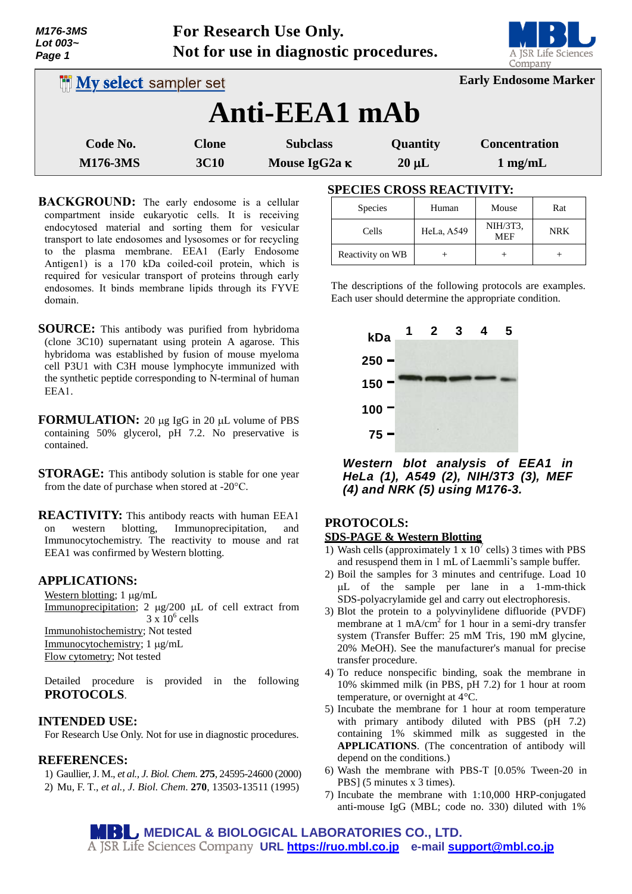| Lot 003~<br>Page 1              |                             | Not for use in diagnostic procedures.   |                        | <b>DE CE</b><br>A JSR Life Sciences<br>Company |
|---------------------------------|-----------------------------|-----------------------------------------|------------------------|------------------------------------------------|
| <b>IN My select sampler set</b> |                             |                                         |                        | <b>Early Endosome Marker</b>                   |
|                                 |                             | Anti-EEA1 mAb                           |                        |                                                |
| Code No.<br><b>M176-3MS</b>     | <b>Clone</b><br><b>3C10</b> | <b>Subclass</b><br>Mouse IgG2a $\kappa$ | Quantity<br>$20 \mu L$ | <b>Concentration</b><br>$1 \text{ mg/mL}$      |

**For Research Use Only.**

- **BACKGROUND:** The early endosome is a cellular compartment inside eukaryotic cells. It is receiving endocytosed material and sorting them for vesicular transport to late endosomes and lysosomes or for recycling to the plasma membrane. EEA1 (Early Endosome Antigen1) is a 170 kDa coiled-coil protein, which is required for vesicular transport of proteins through early endosomes. It binds membrane lipids through its FYVE domain.
- **SOURCE:** This antibody was purified from hybridoma (clone 3C10) supernatant using protein A agarose. This hybridoma was established by fusion of mouse myeloma cell P3U1 with C3H mouse lymphocyte immunized with the synthetic peptide corresponding to N-terminal of human EEA1.
- **FORMULATION:** 20 µg IgG in 20 µL volume of PBS containing 50% glycerol, pH 7.2. No preservative is contained.
- **STORAGE:** This antibody solution is stable for one year from the date of purchase when stored at -20°C.
- **REACTIVITY:** This antibody reacts with human EEA1 on western blotting, Immunoprecipitation, and Immunocytochemistry. The reactivity to mouse and rat EEA1 was confirmed by Western blotting.

# **APPLICATIONS:**

*M176-3MS*

Western blotting;  $1 \mu g/mL$ Immunoprecipitation;  $2 \mu g/200 \mu L$  of cell extract from  $3 \times 10^6$  cells Immunohistochemistry; Not tested Immunocytochemistry; 1 µg/mL Flow cytometry; Not tested

Detailed procedure is provided in the following **PROTOCOLS**.

## **INTENDED USE:**

For Research Use Only. Not for use in diagnostic procedures.

### **REFERENCES:**

1) Gaullier, J. M., *et al., J. Biol. Chem.* **275**, 24595-24600 (2000) 2) Mu, F. T., *et al., J. Biol. Chem*. **270**, 13503-13511 (1995)

# **SPECIES CROSS REACTIVITY:**

| <b>Species</b>   | Human      | Mouse                  | Rat        |
|------------------|------------|------------------------|------------|
| Cells            | HeLa, A549 | NIH/3T3,<br><b>MEF</b> | <b>NRK</b> |
| Reactivity on WB |            |                        |            |

The descriptions of the following protocols are examples. Each user should determine the appropriate condition.



*Western blot analysis of EEA1 in HeLa (1), A549 (2), NIH/3T3 (3), MEF (4) and NRK (5) using M176-3.*

# **PROTOCOLS:**

- **SDS-PAGE & Western Blotting**
- 1) Wash cells (approximately 1 x  $10^7$  cells) 3 times with PBS and resuspend them in 1 mL of Laemmli's sample buffer.
- 2) Boil the samples for 3 minutes and centrifuge. Load 10 L of the sample per lane in a 1-mm-thick SDS-polyacrylamide gel and carry out electrophoresis.
- 3) Blot the protein to a polyvinylidene difluoride (PVDF) membrane at 1 mA/cm<sup>2</sup> for 1 hour in a semi-dry transfer system (Transfer Buffer: 25 mM Tris, 190 mM glycine, 20% MeOH). See the manufacturer's manual for precise transfer procedure.
- 4) To reduce nonspecific binding, soak the membrane in 10% skimmed milk (in PBS, pH 7.2) for 1 hour at room temperature, or overnight at 4°C.
- 5) Incubate the membrane for 1 hour at room temperature with primary antibody diluted with PBS (pH 7.2) containing 1% skimmed milk as suggested in the **APPLICATIONS**. (The concentration of antibody will depend on the conditions.)
- 6) Wash the membrane with PBS-T [0.05% Tween-20 in PBS] (5 minutes x 3 times).
- 7) Incubate the membrane with 1:10,000 HRP-conjugated anti-mouse IgG (MBL; code no. 330) diluted with 1%